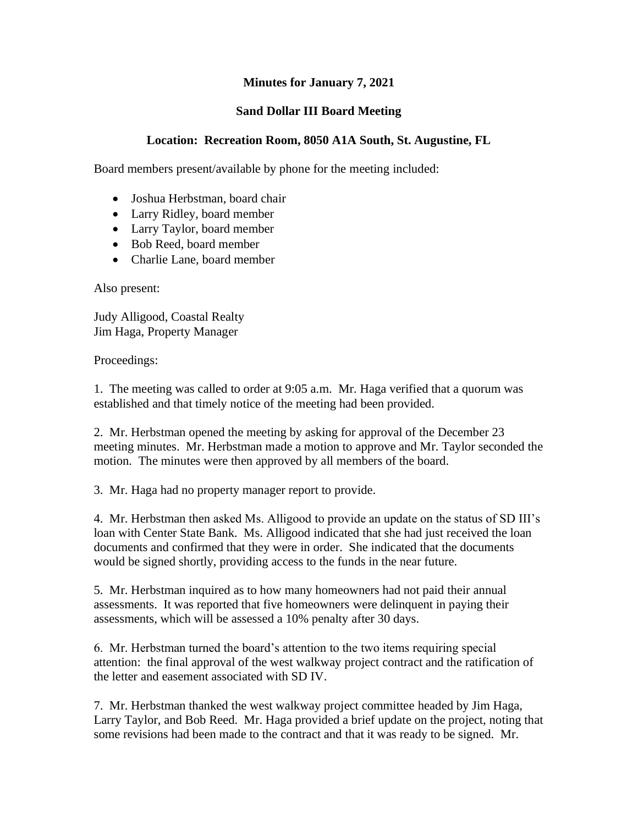## **Minutes for January 7, 2021**

## **Sand Dollar III Board Meeting**

## **Location: Recreation Room, 8050 A1A South, St. Augustine, FL**

Board members present/available by phone for the meeting included:

- Joshua Herbstman, board chair
- Larry Ridley, board member
- Larry Taylor, board member
- Bob Reed, board member
- Charlie Lane, board member

Also present:

Judy Alligood, Coastal Realty Jim Haga, Property Manager

Proceedings:

1. The meeting was called to order at 9:05 a.m. Mr. Haga verified that a quorum was established and that timely notice of the meeting had been provided.

2. Mr. Herbstman opened the meeting by asking for approval of the December 23 meeting minutes. Mr. Herbstman made a motion to approve and Mr. Taylor seconded the motion. The minutes were then approved by all members of the board.

3. Mr. Haga had no property manager report to provide.

4. Mr. Herbstman then asked Ms. Alligood to provide an update on the status of SD III's loan with Center State Bank. Ms. Alligood indicated that she had just received the loan documents and confirmed that they were in order. She indicated that the documents would be signed shortly, providing access to the funds in the near future.

5. Mr. Herbstman inquired as to how many homeowners had not paid their annual assessments. It was reported that five homeowners were delinquent in paying their assessments, which will be assessed a 10% penalty after 30 days.

6. Mr. Herbstman turned the board's attention to the two items requiring special attention: the final approval of the west walkway project contract and the ratification of the letter and easement associated with SD IV.

7. Mr. Herbstman thanked the west walkway project committee headed by Jim Haga, Larry Taylor, and Bob Reed. Mr. Haga provided a brief update on the project, noting that some revisions had been made to the contract and that it was ready to be signed. Mr.